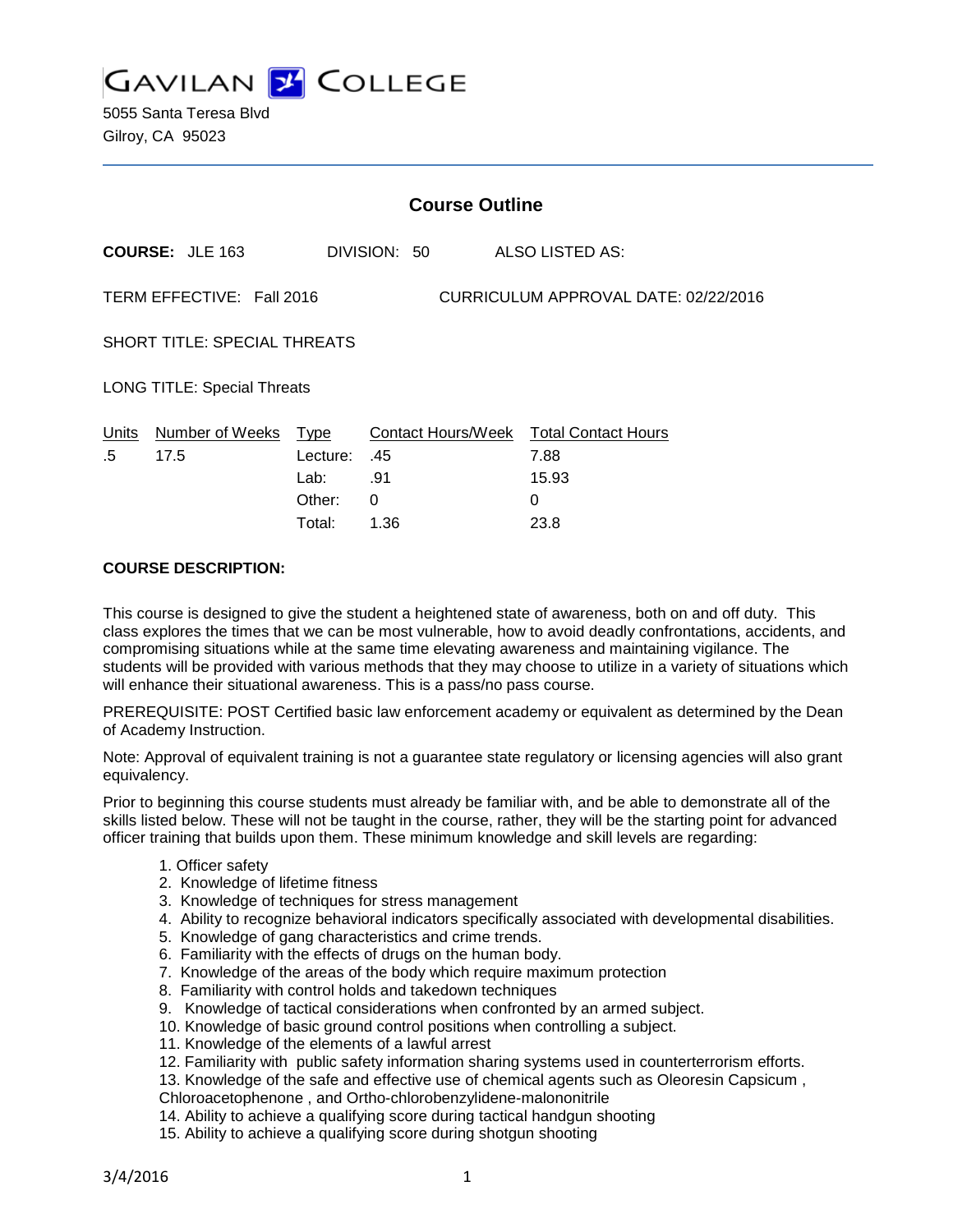

5055 Santa Teresa Blvd Gilroy, CA 95023

|                                                                   | <b>Course Outline</b>   |                                    |                 |                                                              |  |
|-------------------------------------------------------------------|-------------------------|------------------------------------|-----------------|--------------------------------------------------------------|--|
|                                                                   | <b>COURSE: JLE 163</b>  |                                    | DIVISION: 50    | ALSO LISTED AS:                                              |  |
| TERM EFFECTIVE: Fall 2016<br>CURRICULUM APPROVAL DATE: 02/22/2016 |                         |                                    |                 |                                                              |  |
| SHORT TITLE: SPECIAL THREATS                                      |                         |                                    |                 |                                                              |  |
| <b>LONG TITLE: Special Threats</b>                                |                         |                                    |                 |                                                              |  |
| Units<br>.5                                                       | Number of Weeks<br>17.5 | Type<br>Lecture:<br>Lab:<br>Other: | .45<br>.91<br>0 | Contact Hours/Week Total Contact Hours<br>7.88<br>15.93<br>0 |  |
|                                                                   |                         |                                    |                 |                                                              |  |

Total: 1.36 23.8

### **COURSE DESCRIPTION:**

This course is designed to give the student a heightened state of awareness, both on and off duty. This class explores the times that we can be most vulnerable, how to avoid deadly confrontations, accidents, and compromising situations while at the same time elevating awareness and maintaining vigilance. The students will be provided with various methods that they may choose to utilize in a variety of situations which will enhance their situational awareness. This is a pass/no pass course.

PREREQUISITE: POST Certified basic law enforcement academy or equivalent as determined by the Dean of Academy Instruction.

Note: Approval of equivalent training is not a guarantee state regulatory or licensing agencies will also grant equivalency.

Prior to beginning this course students must already be familiar with, and be able to demonstrate all of the skills listed below. These will not be taught in the course, rather, they will be the starting point for advanced officer training that builds upon them. These minimum knowledge and skill levels are regarding:

- 1. Officer safety
- 2. Knowledge of lifetime fitness
- 3. Knowledge of techniques for stress management
- 4. Ability to recognize behavioral indicators specifically associated with developmental disabilities.
- 5. Knowledge of gang characteristics and crime trends.
- 6. Familiarity with the effects of drugs on the human body.
- 7. Knowledge of the areas of the body which require maximum protection
- 8. Familiarity with control holds and takedown techniques
- 9. Knowledge of tactical considerations when confronted by an armed subject.
- 10. Knowledge of basic ground control positions when controlling a subject.
- 11. Knowledge of the elements of a lawful arrest
- 12. Familiarity with public safety information sharing systems used in counterterrorism efforts.
- 13. Knowledge of the safe and effective use of chemical agents such as Oleoresin Capsicum ,
- Chloroacetophenone , and Ortho-chlorobenzylidene-malononitrile
- 14. Ability to achieve a qualifying score during tactical handgun shooting
- 15. Ability to achieve a qualifying score during shotgun shooting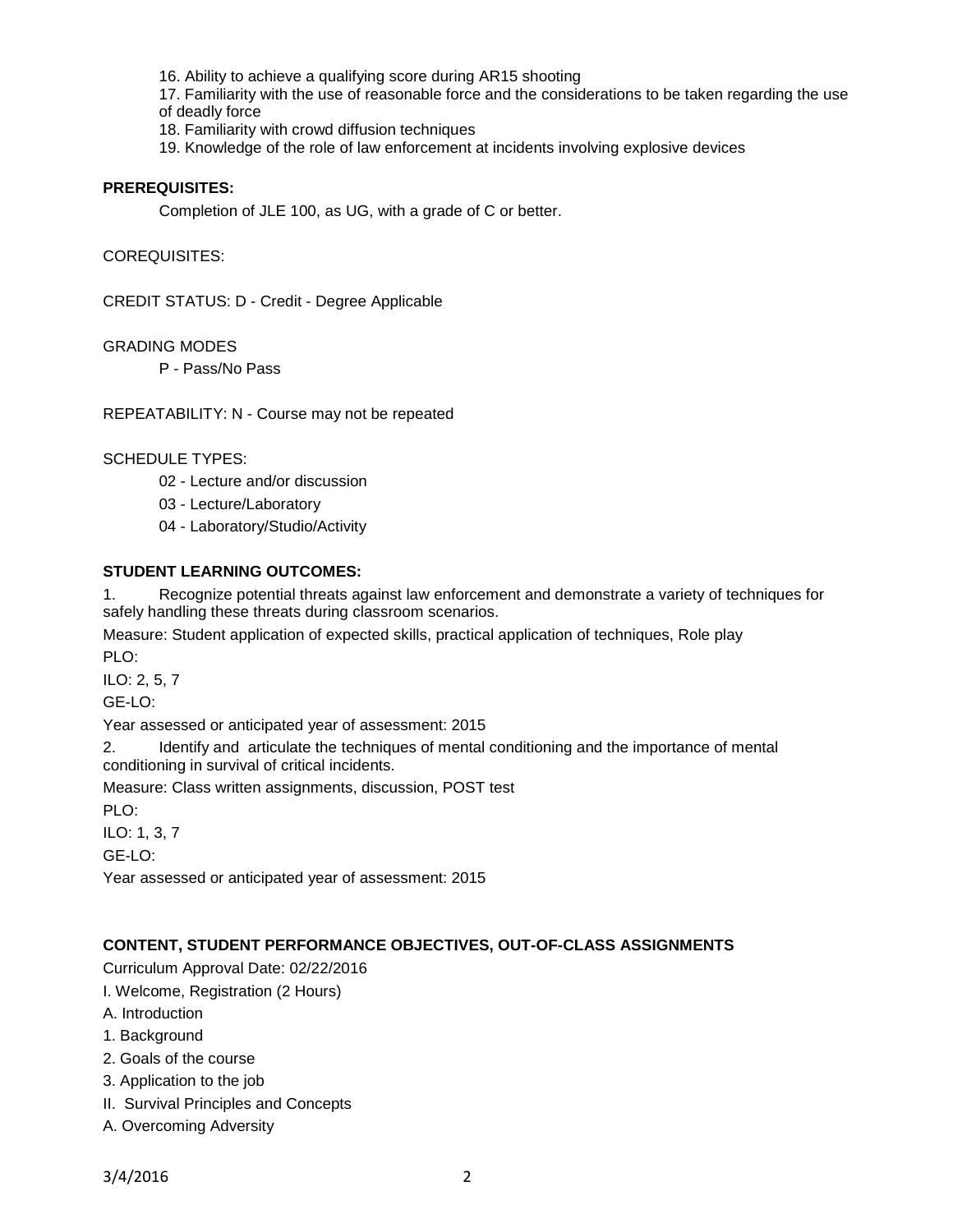16. Ability to achieve a qualifying score during AR15 shooting

17. Familiarity with the use of reasonable force and the considerations to be taken regarding the use of deadly force

- 18. Familiarity with crowd diffusion techniques
- 19. Knowledge of the role of law enforcement at incidents involving explosive devices

## **PREREQUISITES:**

Completion of JLE 100, as UG, with a grade of C or better.

#### COREQUISITES:

CREDIT STATUS: D - Credit - Degree Applicable

## GRADING MODES

P - Pass/No Pass

REPEATABILITY: N - Course may not be repeated

## SCHEDULE TYPES:

- 02 Lecture and/or discussion
- 03 Lecture/Laboratory
- 04 Laboratory/Studio/Activity

### **STUDENT LEARNING OUTCOMES:**

1. Recognize potential threats against law enforcement and demonstrate a variety of techniques for safely handling these threats during classroom scenarios.

Measure: Student application of expected skills, practical application of techniques, Role play PLO:

ILO: 2, 5, 7

GE-LO:

Year assessed or anticipated year of assessment: 2015

2. Identify and articulate the techniques of mental conditioning and the importance of mental conditioning in survival of critical incidents.

Measure: Class written assignments, discussion, POST test

PLO:

ILO: 1, 3, 7

GE-LO:

Year assessed or anticipated year of assessment: 2015

# **CONTENT, STUDENT PERFORMANCE OBJECTIVES, OUT-OF-CLASS ASSIGNMENTS**

Curriculum Approval Date: 02/22/2016

I. Welcome, Registration (2 Hours)

- A. Introduction
- 1. Background
- 2. Goals of the course
- 3. Application to the job
- II. Survival Principles and Concepts
- A. Overcoming Adversity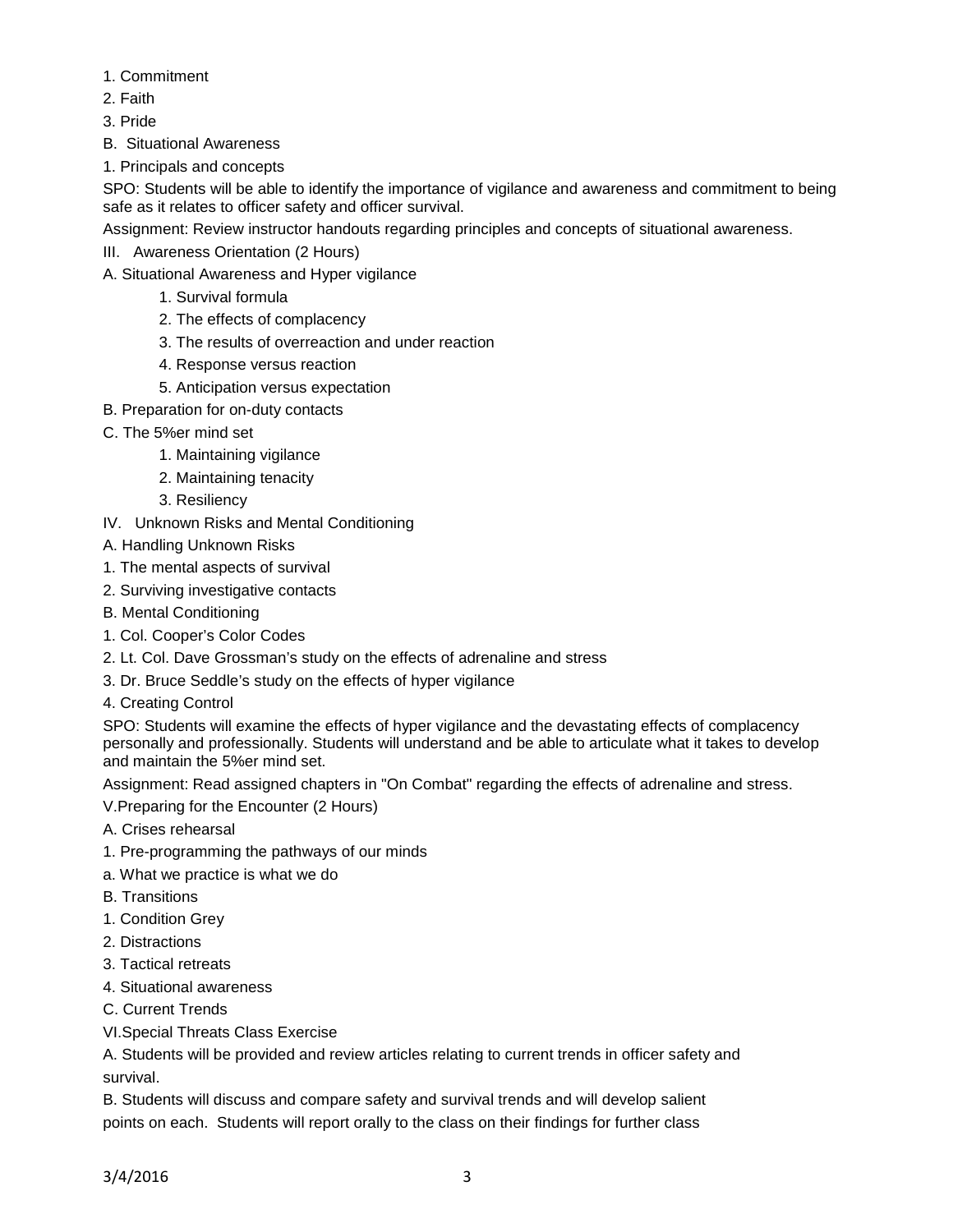- 1. Commitment
- 2. Faith
- 3. Pride
- B. Situational Awareness
- 1. Principals and concepts

SPO: Students will be able to identify the importance of vigilance and awareness and commitment to being safe as it relates to officer safety and officer survival.

Assignment: Review instructor handouts regarding principles and concepts of situational awareness.

- III. Awareness Orientation (2 Hours)
- A. Situational Awareness and Hyper vigilance
	- 1. Survival formula
	- 2. The effects of complacency
	- 3. The results of overreaction and under reaction
	- 4. Response versus reaction
	- 5. Anticipation versus expectation
- B. Preparation for on-duty contacts
- C. The 5%er mind set
	- 1. Maintaining vigilance
		- 2. Maintaining tenacity
		- 3. Resiliency
- IV. Unknown Risks and Mental Conditioning
- A. Handling Unknown Risks
- 1. The mental aspects of survival
- 2. Surviving investigative contacts
- B. Mental Conditioning
- 1. Col. Cooper's Color Codes
- 2. Lt. Col. Dave Grossman's study on the effects of adrenaline and stress
- 3. Dr. Bruce Seddle's study on the effects of hyper vigilance
- 4. Creating Control

SPO: Students will examine the effects of hyper vigilance and the devastating effects of complacency personally and professionally. Students will understand and be able to articulate what it takes to develop and maintain the 5%er mind set.

Assignment: Read assigned chapters in "On Combat" regarding the effects of adrenaline and stress.

V.Preparing for the Encounter (2 Hours)

- A. Crises rehearsal
- 1. Pre-programming the pathways of our minds
- a. What we practice is what we do
- B. Transitions
- 1. Condition Grey
- 2. Distractions
- 3. Tactical retreats
- 4. Situational awareness
- C. Current Trends
- VI.Special Threats Class Exercise

A. Students will be provided and review articles relating to current trends in officer safety and survival.

B. Students will discuss and compare safety and survival trends and will develop salient points on each. Students will report orally to the class on their findings for further class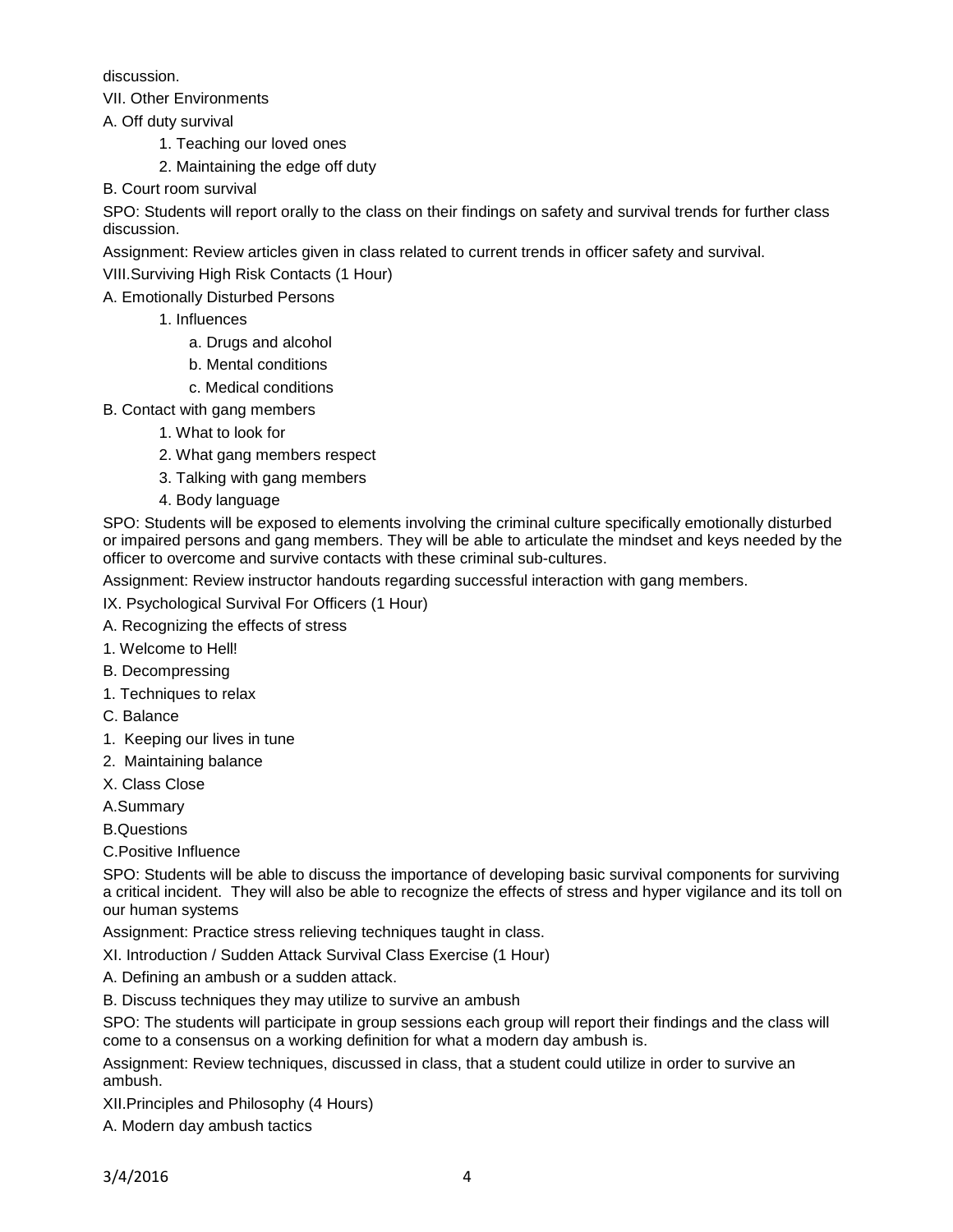discussion.

VII. Other Environments

A. Off duty survival

- 1. Teaching our loved ones
- 2. Maintaining the edge off duty

B. Court room survival

SPO: Students will report orally to the class on their findings on safety and survival trends for further class discussion.

Assignment: Review articles given in class related to current trends in officer safety and survival.

VIII.Surviving High Risk Contacts (1 Hour)

A. Emotionally Disturbed Persons

- 1. Influences
	- a. Drugs and alcohol
	- b. Mental conditions
	- c. Medical conditions
- B. Contact with gang members
	- 1. What to look for
	- 2. What gang members respect
	- 3. Talking with gang members
	- 4. Body language

SPO: Students will be exposed to elements involving the criminal culture specifically emotionally disturbed or impaired persons and gang members. They will be able to articulate the mindset and keys needed by the officer to overcome and survive contacts with these criminal sub-cultures.

Assignment: Review instructor handouts regarding successful interaction with gang members.

IX. Psychological Survival For Officers (1 Hour)

- A. Recognizing the effects of stress
- 1. Welcome to Hell!
- B. Decompressing
- 1. Techniques to relax
- C. Balance
- 1. Keeping our lives in tune
- 2. Maintaining balance
- X. Class Close
- A.Summary

B.Questions

C.Positive Influence

SPO: Students will be able to discuss the importance of developing basic survival components for surviving a critical incident. They will also be able to recognize the effects of stress and hyper vigilance and its toll on our human systems

Assignment: Practice stress relieving techniques taught in class.

XI. Introduction / Sudden Attack Survival Class Exercise (1 Hour)

A. Defining an ambush or a sudden attack.

B. Discuss techniques they may utilize to survive an ambush

SPO: The students will participate in group sessions each group will report their findings and the class will come to a consensus on a working definition for what a modern day ambush is.

Assignment: Review techniques, discussed in class, that a student could utilize in order to survive an ambush.

XII.Principles and Philosophy (4 Hours)

A. Modern day ambush tactics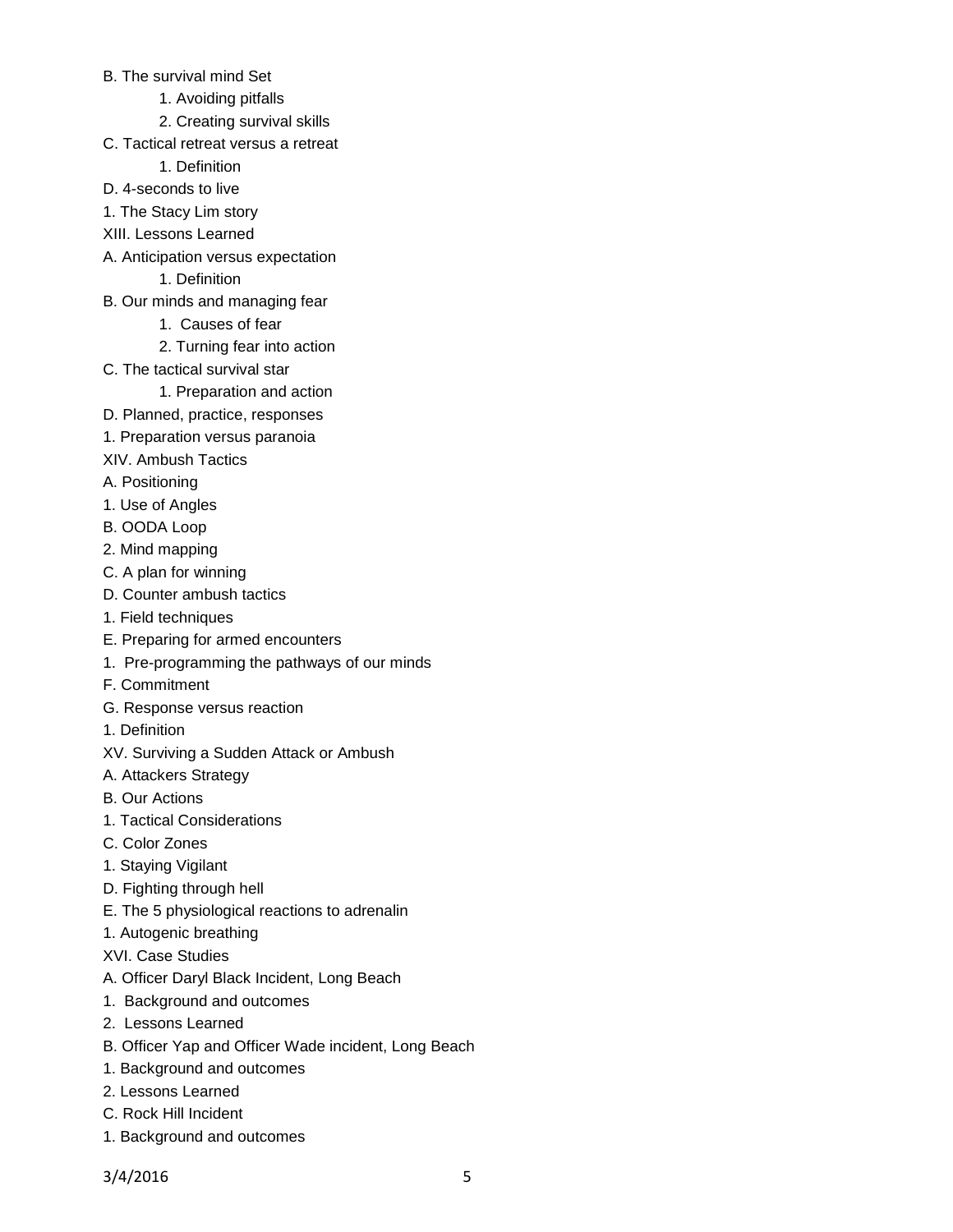- B. The survival mind Set
	- 1. Avoiding pitfalls
	- 2. Creating survival skills
- C. Tactical retreat versus a retreat
	- 1. Definition
- D. 4-seconds to live
- 1. The Stacy Lim story
- XIII. Lessons Learned
- A. Anticipation versus expectation

1. Definition

- B. Our minds and managing fear
	- 1. Causes of fear
	- 2. Turning fear into action
- C. The tactical survival star
	- 1. Preparation and action
- D. Planned, practice, responses
- 1. Preparation versus paranoia
- XIV. Ambush Tactics
- A. Positioning
- 1. Use of Angles
- B. OODA Loop
- 2. Mind mapping
- C. A plan for winning
- D. Counter ambush tactics
- 1. Field techniques
- E. Preparing for armed encounters
- 1. Pre-programming the pathways of our minds
- F. Commitment
- G. Response versus reaction
- 1. Definition
- XV. Surviving a Sudden Attack or Ambush
- A. Attackers Strategy
- B. Our Actions
- 1. Tactical Considerations
- C. Color Zones
- 1. Staying Vigilant
- D. Fighting through hell
- E. The 5 physiological reactions to adrenalin
- 1. Autogenic breathing
- XVI. Case Studies
- A. Officer Daryl Black Incident, Long Beach
- 1. Background and outcomes
- 2. Lessons Learned
- B. Officer Yap and Officer Wade incident, Long Beach
- 1. Background and outcomes
- 2. Lessons Learned
- C. Rock Hill Incident
- 1. Background and outcomes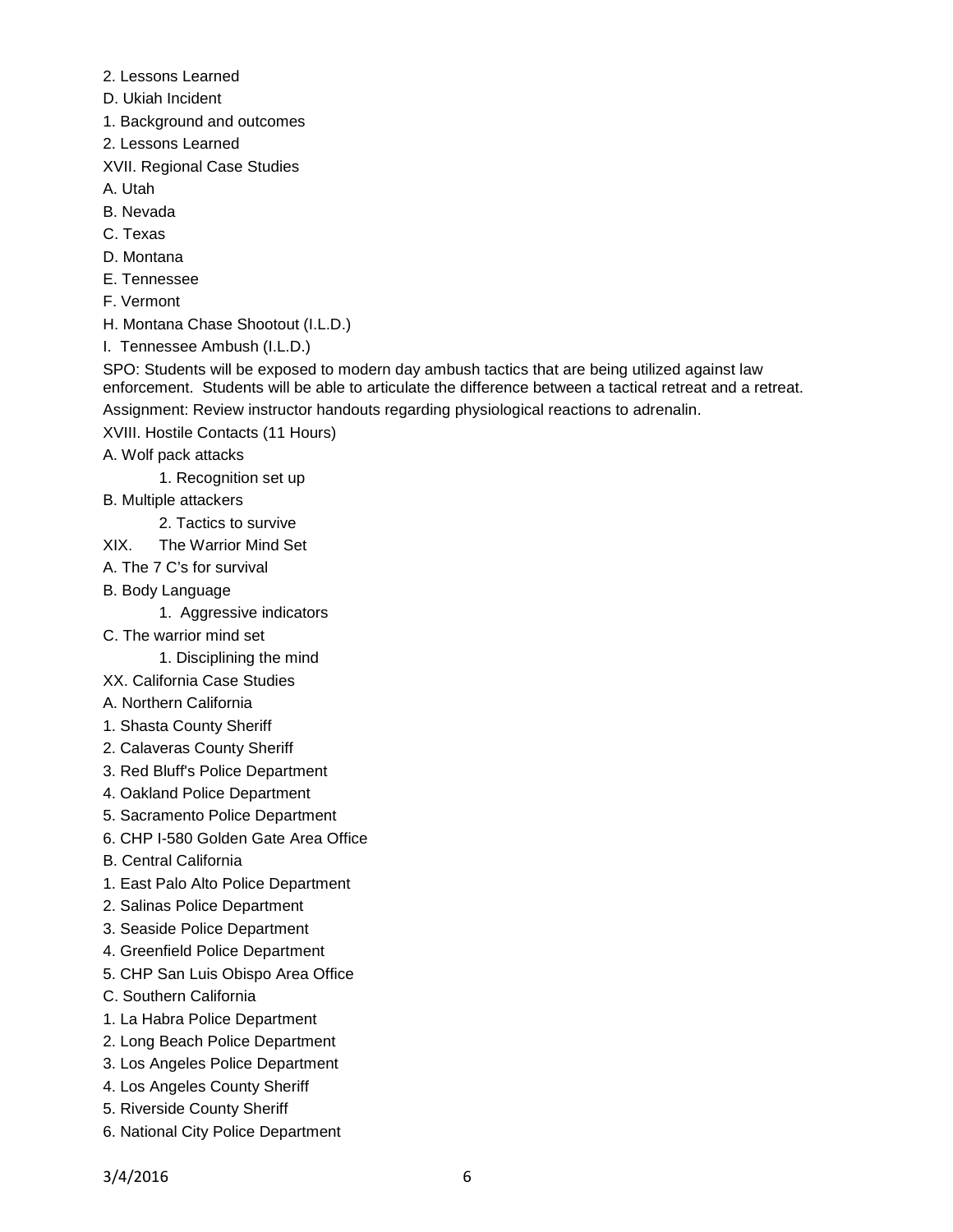- 2. Lessons Learned
- D. Ukiah Incident
- 1. Background and outcomes
- 2. Lessons Learned
- XVII. Regional Case Studies
- A. Utah
- B. Nevada
- C. Texas
- D. Montana
- E. Tennessee
- F. Vermont
- H. Montana Chase Shootout (I.L.D.)
- I. Tennessee Ambush (I.L.D.)

SPO: Students will be exposed to modern day ambush tactics that are being utilized against law enforcement. Students will be able to articulate the difference between a tactical retreat and a retreat. Assignment: Review instructor handouts regarding physiological reactions to adrenalin.

- XVIII. Hostile Contacts (11 Hours)
- A. Wolf pack attacks
	- 1. Recognition set up
- B. Multiple attackers
	- 2. Tactics to survive
- XIX. The Warrior Mind Set
- A. The 7 C's for survival
- B. Body Language
	- 1. Aggressive indicators
- C. The warrior mind set
	- 1. Disciplining the mind
- XX. California Case Studies
- A. Northern California
- 1. Shasta County Sheriff
- 2. Calaveras County Sheriff
- 3. Red Bluff's Police Department
- 4. Oakland Police Department
- 5. Sacramento Police Department
- 6. CHP I-580 Golden Gate Area Office
- B. Central California
- 1. East Palo Alto Police Department
- 2. Salinas Police Department
- 3. Seaside Police Department
- 4. Greenfield Police Department
- 5. CHP San Luis Obispo Area Office
- C. Southern California
- 1. La Habra Police Department
- 2. Long Beach Police Department
- 3. Los Angeles Police Department
- 4. Los Angeles County Sheriff
- 5. Riverside County Sheriff
- 6. National City Police Department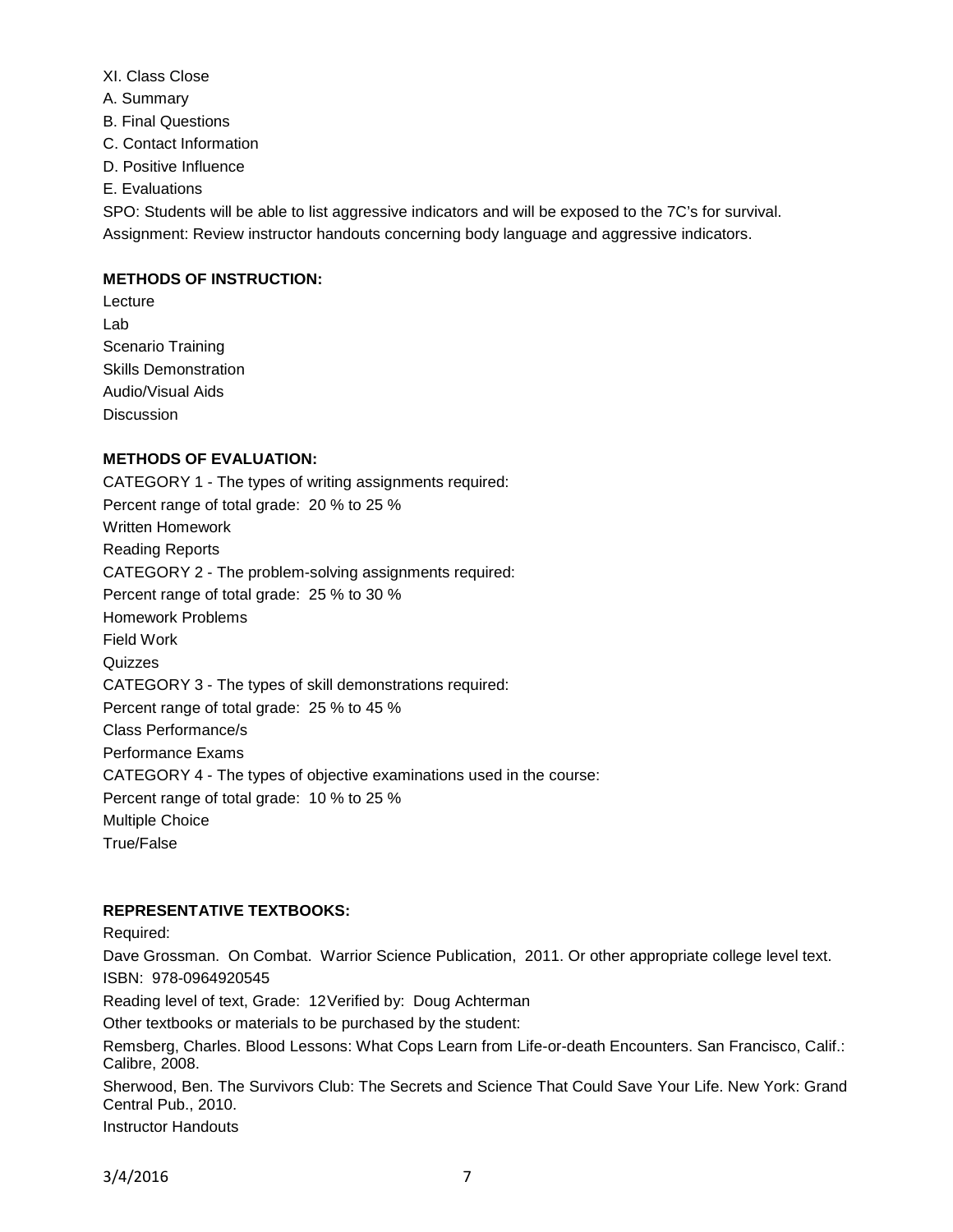- XI. Class Close
- A. Summary
- B. Final Questions
- C. Contact Information
- D. Positive Influence
- E. Evaluations

SPO: Students will be able to list aggressive indicators and will be exposed to the 7C's for survival. Assignment: Review instructor handouts concerning body language and aggressive indicators.

## **METHODS OF INSTRUCTION:**

Lecture Lab Scenario Training Skills Demonstration Audio/Visual Aids **Discussion** 

# **METHODS OF EVALUATION:**

CATEGORY 1 - The types of writing assignments required: Percent range of total grade: 20 % to 25 % Written Homework Reading Reports CATEGORY 2 - The problem-solving assignments required: Percent range of total grade: 25 % to 30 % Homework Problems Field Work **Quizzes** CATEGORY 3 - The types of skill demonstrations required: Percent range of total grade: 25 % to 45 % Class Performance/s Performance Exams CATEGORY 4 - The types of objective examinations used in the course: Percent range of total grade: 10 % to 25 % Multiple Choice True/False

## **REPRESENTATIVE TEXTBOOKS:**

Required:

Dave Grossman. On Combat. Warrior Science Publication, 2011. Or other appropriate college level text. ISBN: 978-0964920545

Reading level of text, Grade: 12Verified by: Doug Achterman

Other textbooks or materials to be purchased by the student:

Remsberg, Charles. Blood Lessons: What Cops Learn from Life-or-death Encounters. San Francisco, Calif.: Calibre, 2008.

Sherwood, Ben. The Survivors Club: The Secrets and Science That Could Save Your Life. New York: Grand Central Pub., 2010.

Instructor Handouts